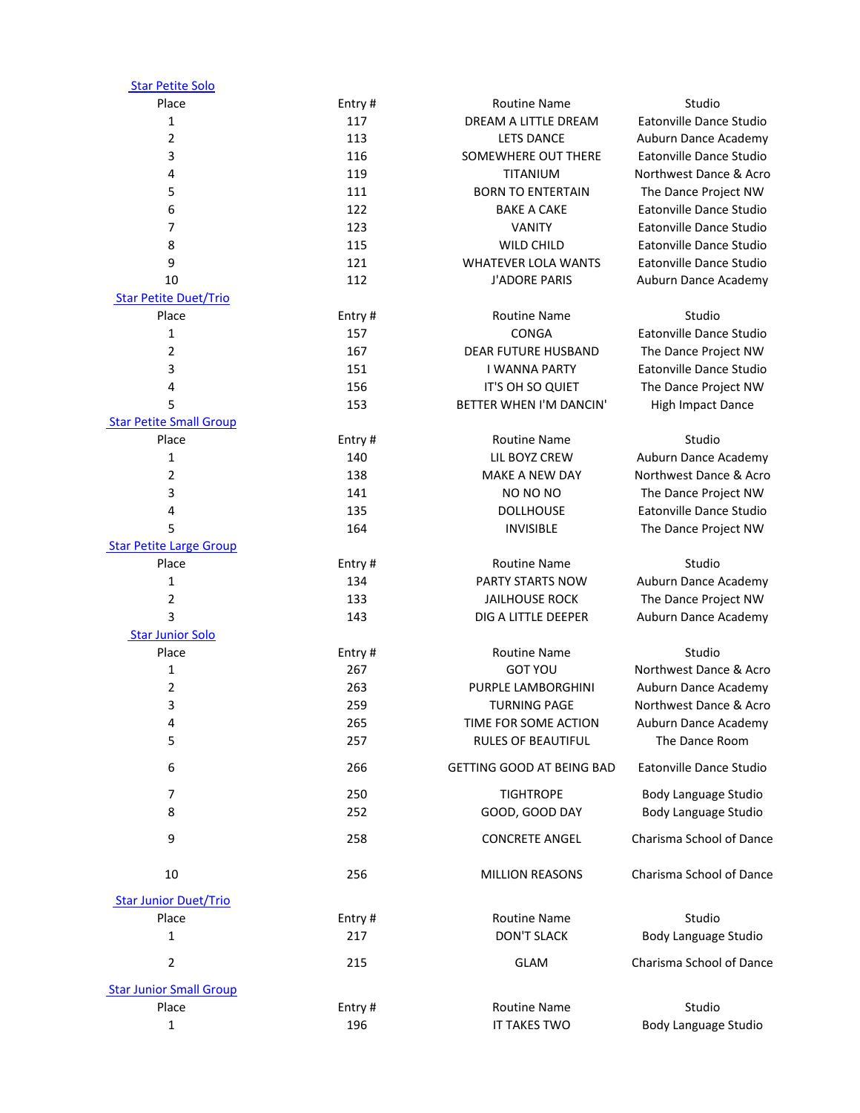| <b>Star Petite Solo</b>        |        |                                             |                             |
|--------------------------------|--------|---------------------------------------------|-----------------------------|
| Place                          | Entry# | <b>Routine Name</b>                         | Studio                      |
| $\mathbf{1}$                   | 117    | DREAM A LITTLE DREAM                        | Eatonville Dance Studio     |
| $\overline{2}$                 | 113    | <b>LETS DANCE</b>                           | Auburn Dance Academy        |
| 3                              | 116    | SOMEWHERE OUT THERE                         | Eatonville Dance Studio     |
| 4                              | 119    | TITANIUM                                    | Northwest Dance & Acro      |
| 5                              | 111    | <b>BORN TO ENTERTAIN</b>                    | The Dance Project NW        |
| 6                              | 122    | <b>BAKE A CAKE</b>                          | Eatonville Dance Studio     |
| 7                              | 123    | <b>VANITY</b>                               | Eatonville Dance Studio     |
| 8                              | 115    | <b>WILD CHILD</b>                           | Eatonville Dance Studio     |
| 9                              | 121    | <b>WHATEVER LOLA WANTS</b>                  | Eatonville Dance Studio     |
| 10                             | 112    | <b>J'ADORE PARIS</b>                        | Auburn Dance Academy        |
| <b>Star Petite Duet/Trio</b>   |        |                                             |                             |
| Place                          | Entry# | <b>Routine Name</b>                         | Studio                      |
| $\mathbf{1}$                   | 157    | CONGA                                       | Eatonville Dance Studio     |
| $\overline{2}$                 | 167    | <b>DEAR FUTURE HUSBAND</b>                  | The Dance Project NW        |
| 3                              | 151    | <b>I WANNA PARTY</b>                        | Eatonville Dance Studio     |
| 4                              | 156    |                                             |                             |
|                                |        | IT'S OH SO QUIET<br>BETTER WHEN I'M DANCIN' | The Dance Project NW        |
| 5                              | 153    |                                             | <b>High Impact Dance</b>    |
| <b>Star Petite Small Group</b> |        |                                             |                             |
| Place                          | Entry# | <b>Routine Name</b>                         | Studio                      |
| $\mathbf{1}$                   | 140    | LIL BOYZ CREW                               | Auburn Dance Academy        |
| $\overline{2}$                 | 138    | <b>MAKE A NEW DAY</b>                       | Northwest Dance & Acro      |
| 3                              | 141    | NO NO NO                                    | The Dance Project NW        |
| 4                              | 135    | <b>DOLLHOUSE</b>                            | Eatonville Dance Studio     |
| 5                              | 164    | <b>INVISIBLE</b>                            | The Dance Project NW        |
| <b>Star Petite Large Group</b> |        |                                             |                             |
| Place                          | Entry# | <b>Routine Name</b>                         | Studio                      |
| 1                              | 134    | PARTY STARTS NOW                            | Auburn Dance Academy        |
| $\overline{2}$                 | 133    | <b>JAILHOUSE ROCK</b>                       | The Dance Project NW        |
| 3                              | 143    | DIG A LITTLE DEEPER                         | Auburn Dance Academy        |
| <b>Star Junior Solo</b>        |        |                                             |                             |
| Place                          | Entry# | <b>Routine Name</b>                         | Studio                      |
| $\mathbf{1}$                   | 267    | <b>GOT YOU</b>                              | Northwest Dance & Acro      |
| $\overline{2}$                 | 263    | PURPLE LAMBORGHINI                          | Auburn Dance Academy        |
| 3                              | 259    | <b>TURNING PAGE</b>                         | Northwest Dance & Acro      |
| 4                              | 265    | TIME FOR SOME ACTION                        | Auburn Dance Academy        |
| 5                              | 257    | <b>RULES OF BEAUTIFUL</b>                   | The Dance Room              |
| 6                              | 266    | GETTING GOOD AT BEING BAD                   | Eatonville Dance Studio     |
|                                |        |                                             |                             |
| 7                              | 250    | <b>TIGHTROPE</b>                            | Body Language Studio        |
| 8                              | 252    | GOOD, GOOD DAY                              | Body Language Studio        |
| 9                              | 258    | <b>CONCRETE ANGEL</b>                       | Charisma School of Dance    |
| 10                             | 256    | <b>MILLION REASONS</b>                      | Charisma School of Dance    |
| <b>Star Junior Duet/Trio</b>   |        |                                             |                             |
| Place                          | Entry# | <b>Routine Name</b>                         | Studio                      |
| 1                              | 217    | <b>DON'T SLACK</b>                          | <b>Body Language Studio</b> |
|                                |        |                                             |                             |
| 2                              | 215    | <b>GLAM</b>                                 | Charisma School of Dance    |
| <b>Star Junior Small Group</b> |        |                                             |                             |
| Place                          | Entry# | <b>Routine Name</b>                         | Studio                      |
| $\mathbf{1}$                   | 196    | IT TAKES TWO                                | Body Language Studio        |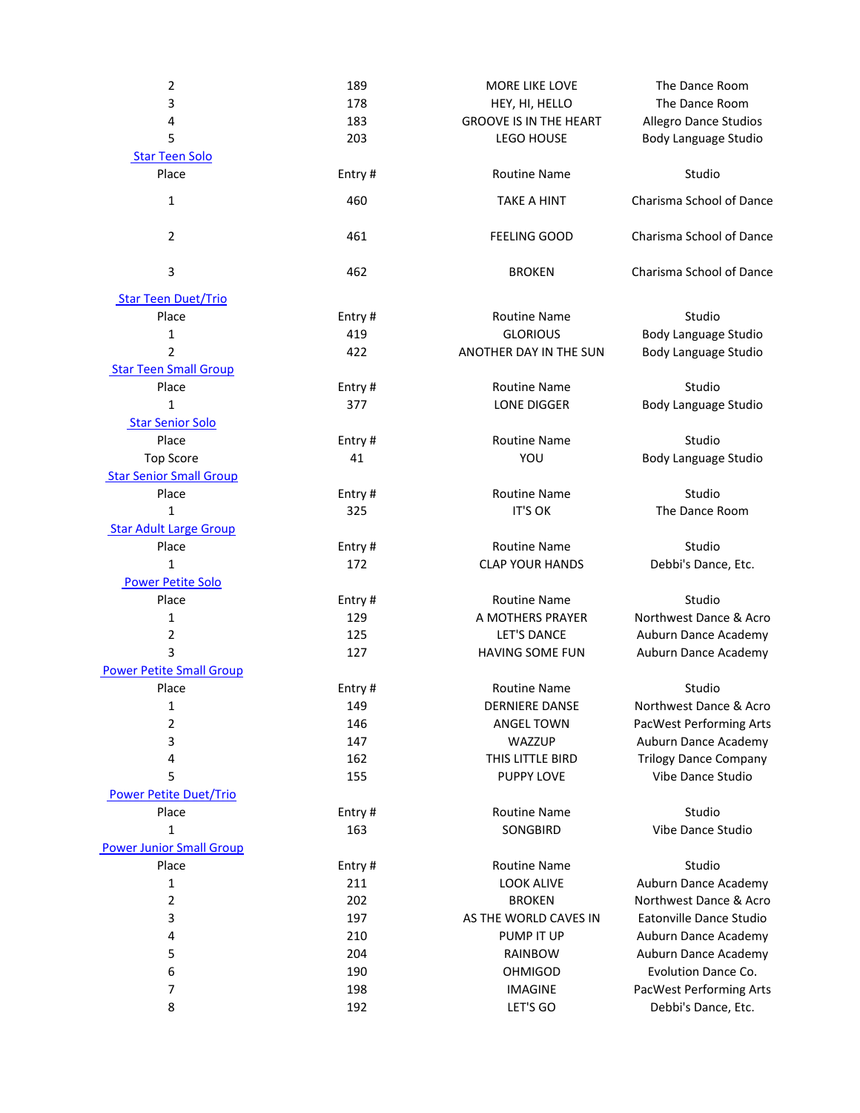| $\mathbf{2}$                    | 189    | MORE LIKE LOVE                | The Dance Room                 |
|---------------------------------|--------|-------------------------------|--------------------------------|
| 3                               | 178    | HEY, HI, HELLO                | The Dance Room                 |
| 4                               | 183    | <b>GROOVE IS IN THE HEART</b> | <b>Allegro Dance Studios</b>   |
| 5                               | 203    | <b>LEGO HOUSE</b>             | Body Language Studio           |
| <b>Star Teen Solo</b>           |        |                               |                                |
| Place                           | Entry# | <b>Routine Name</b>           | Studio                         |
| $\mathbf{1}$                    | 460    | <b>TAKE A HINT</b>            | Charisma School of Dance       |
| $\overline{2}$                  | 461    | <b>FEELING GOOD</b>           | Charisma School of Dance       |
| 3                               | 462    | <b>BROKEN</b>                 | Charisma School of Dance       |
| <b>Star Teen Duet/Trio</b>      |        |                               |                                |
| Place                           | Entry# | <b>Routine Name</b>           | Studio                         |
| $\mathbf 1$                     | 419    | <b>GLORIOUS</b>               | Body Language Studio           |
| $\overline{2}$                  | 422    | ANOTHER DAY IN THE SUN        | Body Language Studio           |
| <b>Star Teen Small Group</b>    |        |                               |                                |
| Place                           | Entry# | <b>Routine Name</b>           | Studio                         |
| $\mathbf{1}$                    | 377    | LONE DIGGER                   | Body Language Studio           |
| <b>Star Senior Solo</b>         |        |                               |                                |
| Place                           | Entry# | <b>Routine Name</b>           | Studio                         |
| <b>Top Score</b>                | 41     | YOU                           | Body Language Studio           |
| <b>Star Senior Small Group</b>  |        |                               |                                |
| Place                           | Entry# | <b>Routine Name</b>           | Studio                         |
| 1                               | 325    | <b>IT'S OK</b>                | The Dance Room                 |
| <b>Star Adult Large Group</b>   |        |                               |                                |
| Place                           | Entry# | <b>Routine Name</b>           | Studio                         |
| $\mathbf{1}$                    | 172    | <b>CLAP YOUR HANDS</b>        | Debbi's Dance, Etc.            |
| <b>Power Petite Solo</b>        |        |                               |                                |
| Place                           | Entry# | <b>Routine Name</b>           | Studio                         |
| 1                               | 129    | A MOTHERS PRAYER              | Northwest Dance & Acro         |
| $\overline{2}$                  | 125    | LET'S DANCE                   | Auburn Dance Academy           |
| 3                               | 127    | HAVING SOME FUN               | Auburn Dance Academy           |
| <b>Power Petite Small Group</b> |        |                               |                                |
| Place                           | Entry# | <b>Routine Name</b>           | Studio                         |
| 1                               | 149    | <b>DERNIERE DANSE</b>         | Northwest Dance & Acro         |
| 2                               | 146    | <b>ANGEL TOWN</b>             | <b>PacWest Performing Arts</b> |
| 3                               | 147    | WAZZUP                        | Auburn Dance Academy           |
| 4                               | 162    | THIS LITTLE BIRD              | <b>Trilogy Dance Company</b>   |
| 5                               | 155    | <b>PUPPY LOVE</b>             | Vibe Dance Studio              |
| <b>Power Petite Duet/Trio</b>   |        |                               |                                |
| Place                           | Entry# | <b>Routine Name</b>           | Studio                         |
| $\mathbf{1}$                    | 163    | SONGBIRD                      | Vibe Dance Studio              |
| <b>Power Junior Small Group</b> |        |                               |                                |
| Place                           | Entry# | <b>Routine Name</b>           | Studio                         |
| $\mathbf{1}$                    | 211    | <b>LOOK ALIVE</b>             | Auburn Dance Academy           |
| $\mathbf 2$                     | 202    | <b>BROKEN</b>                 | Northwest Dance & Acro         |
| 3                               | 197    | AS THE WORLD CAVES IN         | Eatonville Dance Studio        |
| 4                               | 210    | PUMP IT UP                    | Auburn Dance Academy           |
| 5                               | 204    | <b>RAINBOW</b>                | Auburn Dance Academy           |
| 6                               | 190    | <b>OHMIGOD</b>                | Evolution Dance Co.            |
| 7                               | 198    | <b>IMAGINE</b>                | PacWest Performing Arts        |
| 8                               | 192    | LET'S GO                      | Debbi's Dance, Etc.            |
|                                 |        |                               |                                |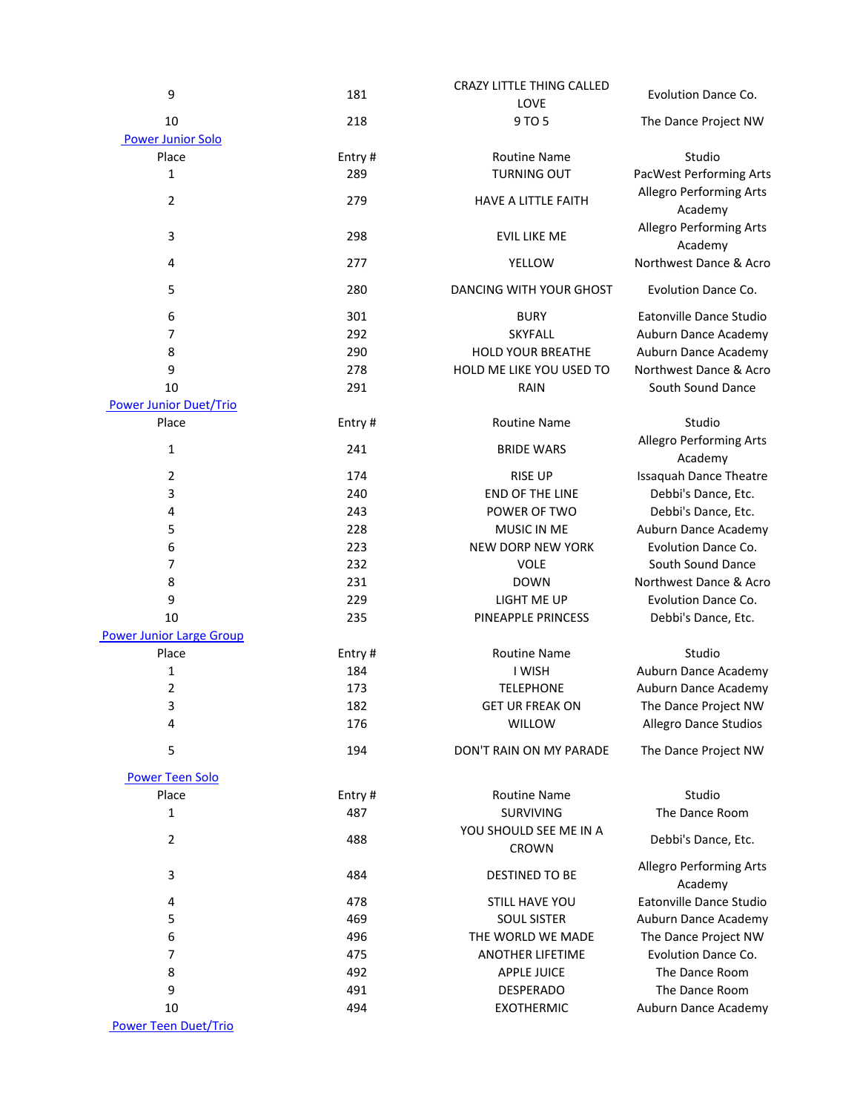| 9                               | 181    | <b>CRAZY LITTLE THING CALLED</b> | Evolution Dance Co.           |
|---------------------------------|--------|----------------------------------|-------------------------------|
|                                 |        | LOVE                             |                               |
| 10                              | 218    | 9 TO 5                           | The Dance Project NW          |
| <b>Power Junior Solo</b>        |        |                                  |                               |
| Place                           | Entry# | <b>Routine Name</b>              | Studio                        |
| $\mathbf 1$                     | 289    | <b>TURNING OUT</b>               | PacWest Performing Arts       |
|                                 |        |                                  | Allegro Performing Arts       |
| $\overline{2}$                  | 279    | HAVE A LITTLE FAITH              | Academy                       |
|                                 |        |                                  | Allegro Performing Arts       |
| 3                               | 298    | <b>EVIL LIKE ME</b>              |                               |
|                                 |        |                                  | Academy                       |
| 4                               | 277    | YELLOW                           | Northwest Dance & Acro        |
| 5                               | 280    | DANCING WITH YOUR GHOST          | Evolution Dance Co.           |
|                                 |        |                                  |                               |
| 6                               | 301    | <b>BURY</b>                      | Eatonville Dance Studio       |
| 7                               | 292    | <b>SKYFALL</b>                   | Auburn Dance Academy          |
| 8                               | 290    | <b>HOLD YOUR BREATHE</b>         | Auburn Dance Academy          |
| 9                               | 278    | HOLD ME LIKE YOU USED TO         | Northwest Dance & Acro        |
| 10                              | 291    | RAIN                             | South Sound Dance             |
| <b>Power Junior Duet/Trio</b>   |        |                                  |                               |
| Place                           | Entry# | <b>Routine Name</b>              | Studio                        |
|                                 |        |                                  | Allegro Performing Arts       |
| 1                               | 241    | <b>BRIDE WARS</b>                |                               |
|                                 |        |                                  | Academy                       |
| 2                               | 174    | <b>RISE UP</b>                   | <b>Issaquah Dance Theatre</b> |
| 3                               | 240    | END OF THE LINE                  | Debbi's Dance, Etc.           |
| 4                               | 243    | POWER OF TWO                     | Debbi's Dance, Etc.           |
| 5                               | 228    | MUSIC IN ME                      | Auburn Dance Academy          |
| 6                               | 223    | <b>NEW DORP NEW YORK</b>         | Evolution Dance Co.           |
| 7                               | 232    | <b>VOLE</b>                      | South Sound Dance             |
| 8                               | 231    | <b>DOWN</b>                      | Northwest Dance & Acro        |
| 9                               | 229    | LIGHT ME UP                      | Evolution Dance Co.           |
| 10                              | 235    | PINEAPPLE PRINCESS               | Debbi's Dance, Etc.           |
| <b>Power Junior Large Group</b> |        |                                  |                               |
| Place                           | Entry# | <b>Routine Name</b>              | Studio                        |
| 1                               | 184    | I WISH                           | Auburn Dance Academy          |
| $\overline{2}$                  | 173    | <b>TELEPHONE</b>                 | Auburn Dance Academy          |
| 3                               | 182    | <b>GET UR FREAK ON</b>           | The Dance Project NW          |
| 4                               |        | WILLOW                           |                               |
|                                 | 176    |                                  | Allegro Dance Studios         |
| 5                               | 194    | DON'T RAIN ON MY PARADE          | The Dance Project NW          |
|                                 |        |                                  |                               |
| <b>Power Teen Solo</b>          |        |                                  |                               |
| Place                           | Entry# | <b>Routine Name</b>              | Studio                        |
| 1                               | 487    | SURVIVING                        | The Dance Room                |
| 2                               | 488    | YOU SHOULD SEE ME IN A           | Debbi's Dance, Etc.           |
|                                 |        | <b>CROWN</b>                     |                               |
|                                 |        |                                  | Allegro Performing Arts       |
| 3                               | 484    | DESTINED TO BE                   | Academy                       |
| 4                               | 478    | STILL HAVE YOU                   | Eatonville Dance Studio       |
| 5                               | 469    | <b>SOUL SISTER</b>               | Auburn Dance Academy          |
| 6                               | 496    | THE WORLD WE MADE                | The Dance Project NW          |
| 7                               | 475    | <b>ANOTHER LIFETIME</b>          | Evolution Dance Co.           |
|                                 | 492    |                                  | The Dance Room                |
| 8                               |        | <b>APPLE JUICE</b>               |                               |
| 9                               | 491    | <b>DESPERADO</b>                 | The Dance Room                |
| 10                              | 494    | <b>EXOTHERMIC</b>                | Auburn Dance Academy          |
| <b>Power Teen Duet/Trio</b>     |        |                                  |                               |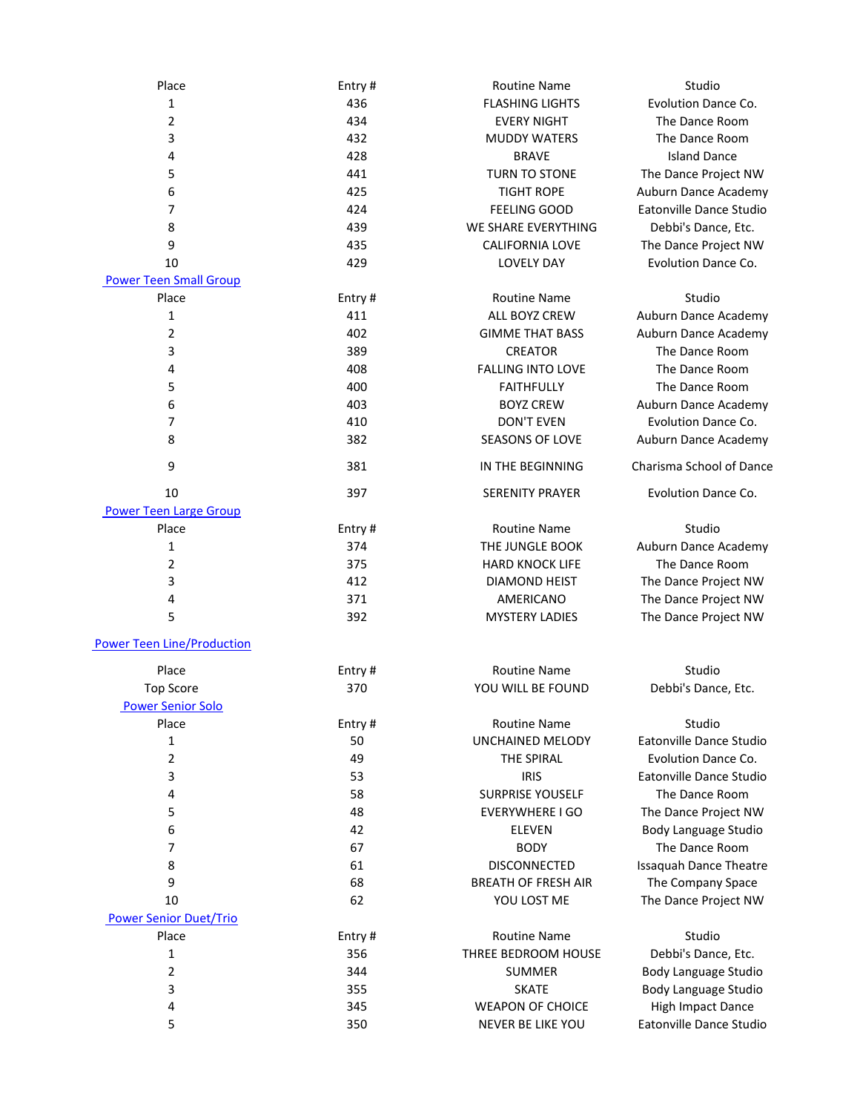| Place                             | Entry# | <b>Routine Name</b>        | Studio                        |
|-----------------------------------|--------|----------------------------|-------------------------------|
| 1                                 | 436    | <b>FLASHING LIGHTS</b>     | Evolution Dance Co.           |
| 2                                 | 434    | <b>EVERY NIGHT</b>         | The Dance Room                |
| 3                                 | 432    | <b>MUDDY WATERS</b>        | The Dance Room                |
| 4                                 | 428    | <b>BRAVE</b>               | <b>Island Dance</b>           |
| 5                                 | 441    | <b>TURN TO STONE</b>       | The Dance Project NW          |
| 6                                 | 425    | <b>TIGHT ROPE</b>          | Auburn Dance Academy          |
| $\overline{7}$                    | 424    | <b>FEELING GOOD</b>        | Eatonville Dance Studio       |
| 8                                 | 439    | WE SHARE EVERYTHING        | Debbi's Dance, Etc.           |
| 9                                 | 435    | CALIFORNIA LOVE            | The Dance Project NW          |
| 10                                | 429    | <b>LOVELY DAY</b>          | Evolution Dance Co.           |
| <b>Power Teen Small Group</b>     |        |                            |                               |
| Place                             | Entry# | <b>Routine Name</b>        | Studio                        |
| $\mathbf 1$                       | 411    | ALL BOYZ CREW              | Auburn Dance Academy          |
| 2                                 | 402    | <b>GIMME THAT BASS</b>     | Auburn Dance Academy          |
| 3                                 | 389    | <b>CREATOR</b>             | The Dance Room                |
| 4                                 | 408    | <b>FALLING INTO LOVE</b>   | The Dance Room                |
| 5                                 | 400    | <b>FAITHFULLY</b>          | The Dance Room                |
| 6                                 | 403    | <b>BOYZ CREW</b>           | Auburn Dance Academy          |
| $\overline{7}$                    | 410    | <b>DON'T EVEN</b>          | Evolution Dance Co.           |
| 8                                 | 382    | <b>SEASONS OF LOVE</b>     | Auburn Dance Academy          |
| 9                                 | 381    | IN THE BEGINNING           | Charisma School of Dance      |
| 10                                | 397    | <b>SERENITY PRAYER</b>     | Evolution Dance Co.           |
| <b>Power Teen Large Group</b>     |        |                            |                               |
| Place                             | Entry# | <b>Routine Name</b>        | Studio                        |
| 1                                 | 374    | THE JUNGLE BOOK            | Auburn Dance Academy          |
| $\mathbf 2$                       | 375    | <b>HARD KNOCK LIFE</b>     | The Dance Room                |
| 3                                 | 412    | <b>DIAMOND HEIST</b>       | The Dance Project NW          |
| 4                                 | 371    | AMERICANO                  | The Dance Project NW          |
| 5                                 | 392    | <b>MYSTERY LADIES</b>      | The Dance Project NW          |
| <b>Power Teen Line/Production</b> |        |                            |                               |
| Place                             | Entry# | <b>Routine Name</b>        | Studio                        |
| <b>Top Score</b>                  | 370    | YOU WILL BE FOUND          | Debbi's Dance, Etc.           |
| <b>Power Senior Solo</b>          |        |                            |                               |
| Place                             | Entry# | <b>Routine Name</b>        | Studio                        |
| $\mathbf{1}$                      | 50     | <b>UNCHAINED MELODY</b>    | Eatonville Dance Studio       |
| $\mathbf 2$                       | 49     | THE SPIRAL                 | Evolution Dance Co.           |
| 3                                 | 53     | <b>IRIS</b>                | Eatonville Dance Studio       |
| 4                                 | 58     | <b>SURPRISE YOUSELF</b>    | The Dance Room                |
| 5                                 | 48     | <b>EVERYWHERE I GO</b>     | The Dance Project NW          |
| 6                                 | 42     | <b>ELEVEN</b>              | Body Language Studio          |
| 7                                 | 67     | <b>BODY</b>                | The Dance Room                |
| 8                                 | 61     | <b>DISCONNECTED</b>        | <b>Issaquah Dance Theatre</b> |
| 9                                 | 68     | <b>BREATH OF FRESH AIR</b> | The Company Space             |
| 10                                | 62     | YOU LOST ME                | The Dance Project NW          |
| <b>Power Senior Duet/Trio</b>     |        |                            |                               |
| Place                             | Entry# | <b>Routine Name</b>        | Studio                        |
| $\mathbf 1$                       | 356    | THREE BEDROOM HOUSE        | Debbi's Dance, Etc.           |
| 2                                 | 344    | SUMMER                     | Body Language Studio          |
| 3                                 | 355    | <b>SKATE</b>               | Body Language Studio          |
| 4                                 | 345    | <b>WEAPON OF CHOICE</b>    | High Impact Dance             |
| 5                                 | 350    | NEVER BE LIKE YOU          | Eatonville Dance Studio       |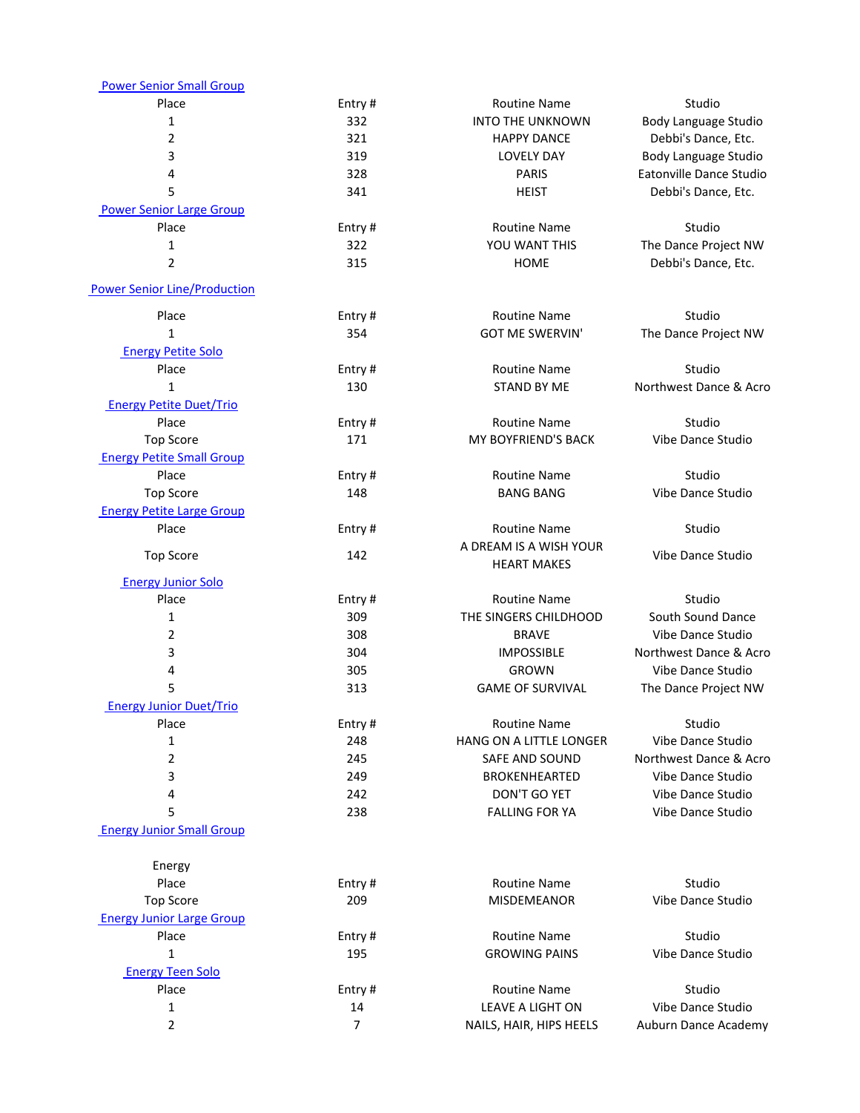| <b>Power Senior Small Group</b>     |                |                         |                         |
|-------------------------------------|----------------|-------------------------|-------------------------|
| Place                               | Entry#         | <b>Routine Name</b>     | Studio                  |
| 1                                   | 332            | <b>INTO THE UNKNOWN</b> | Body Language Studio    |
| 2                                   | 321            | <b>HAPPY DANCE</b>      | Debbi's Dance, Etc.     |
| 3                                   | 319            | <b>LOVELY DAY</b>       | Body Language Studio    |
| 4                                   | 328            | <b>PARIS</b>            | Eatonville Dance Studio |
| 5                                   | 341            | <b>HEIST</b>            | Debbi's Dance, Etc.     |
| <b>Power Senior Large Group</b>     |                |                         |                         |
| Place                               | Entry#         | <b>Routine Name</b>     | Studio                  |
| 1                                   | 322            | YOU WANT THIS           | The Dance Project NW    |
| 2                                   | 315            | <b>HOME</b>             | Debbi's Dance, Etc.     |
|                                     |                |                         |                         |
| <b>Power Senior Line/Production</b> |                |                         |                         |
| Place                               | Entry#         | <b>Routine Name</b>     | Studio                  |
| 1                                   | 354            | <b>GOT ME SWERVIN'</b>  | The Dance Project NW    |
| <b>Energy Petite Solo</b>           |                |                         |                         |
| Place                               | Entry#         | <b>Routine Name</b>     | Studio                  |
| 1                                   | 130            | <b>STAND BY ME</b>      | Northwest Dance & Acro  |
| <b>Energy Petite Duet/Trio</b>      |                |                         |                         |
| Place                               | Entry#         | <b>Routine Name</b>     | Studio                  |
| <b>Top Score</b>                    | 171            | MY BOYFRIEND'S BACK     | Vibe Dance Studio       |
| <b>Energy Petite Small Group</b>    |                |                         |                         |
| Place                               | Entry#         | <b>Routine Name</b>     | Studio                  |
| <b>Top Score</b>                    | 148            | <b>BANG BANG</b>        | Vibe Dance Studio       |
| <b>Energy Petite Large Group</b>    |                |                         |                         |
| Place                               | Entry#         | <b>Routine Name</b>     | Studio                  |
|                                     |                | A DREAM IS A WISH YOUR  |                         |
| <b>Top Score</b>                    | 142            | <b>HEART MAKES</b>      | Vibe Dance Studio       |
| <b>Energy Junior Solo</b>           |                |                         |                         |
| Place                               | Entry#         | <b>Routine Name</b>     | Studio                  |
| 1                                   | 309            | THE SINGERS CHILDHOOD   | South Sound Dance       |
| 2                                   | 308            | <b>BRAVE</b>            | Vibe Dance Studio       |
| 3                                   | 304            | <b>IMPOSSIBLE</b>       | Northwest Dance & Acro  |
| 4                                   | 305            | <b>GROWN</b>            | Vibe Dance Studio       |
| 5                                   | 313            | <b>GAME OF SURVIVAL</b> | The Dance Project NW    |
| <b>Energy Junior Duet/Trio</b>      |                |                         |                         |
| Place                               | Entry#         | <b>Routine Name</b>     | Studio                  |
| 1                                   | 248            | HANG ON A LITTLE LONGER | Vibe Dance Studio       |
| 2                                   | 245            | SAFE AND SOUND          | Northwest Dance & Acro  |
| 3                                   | 249            | <b>BROKENHEARTED</b>    | Vibe Dance Studio       |
| 4                                   | 242            | DON'T GO YET            | Vibe Dance Studio       |
| 5                                   | 238            | <b>FALLING FOR YA</b>   | Vibe Dance Studio       |
| <b>Energy Junior Small Group</b>    |                |                         |                         |
|                                     |                |                         |                         |
| Energy                              |                |                         |                         |
| Place                               | Entry#         | <b>Routine Name</b>     | Studio                  |
| <b>Top Score</b>                    | 209            | <b>MISDEMEANOR</b>      | Vibe Dance Studio       |
| <b>Energy Junior Large Group</b>    |                |                         |                         |
| Place                               | Entry#         | <b>Routine Name</b>     | Studio                  |
| 1                                   | 195            | <b>GROWING PAINS</b>    | Vibe Dance Studio       |
| <b>Energy Teen Solo</b>             |                |                         |                         |
| Place                               | Entry#         | <b>Routine Name</b>     | Studio                  |
| 1                                   | 14             | LEAVE A LIGHT ON        | Vibe Dance Studio       |
| 2                                   | $\overline{7}$ | NAILS, HAIR, HIPS HEELS | Auburn Dance Academy    |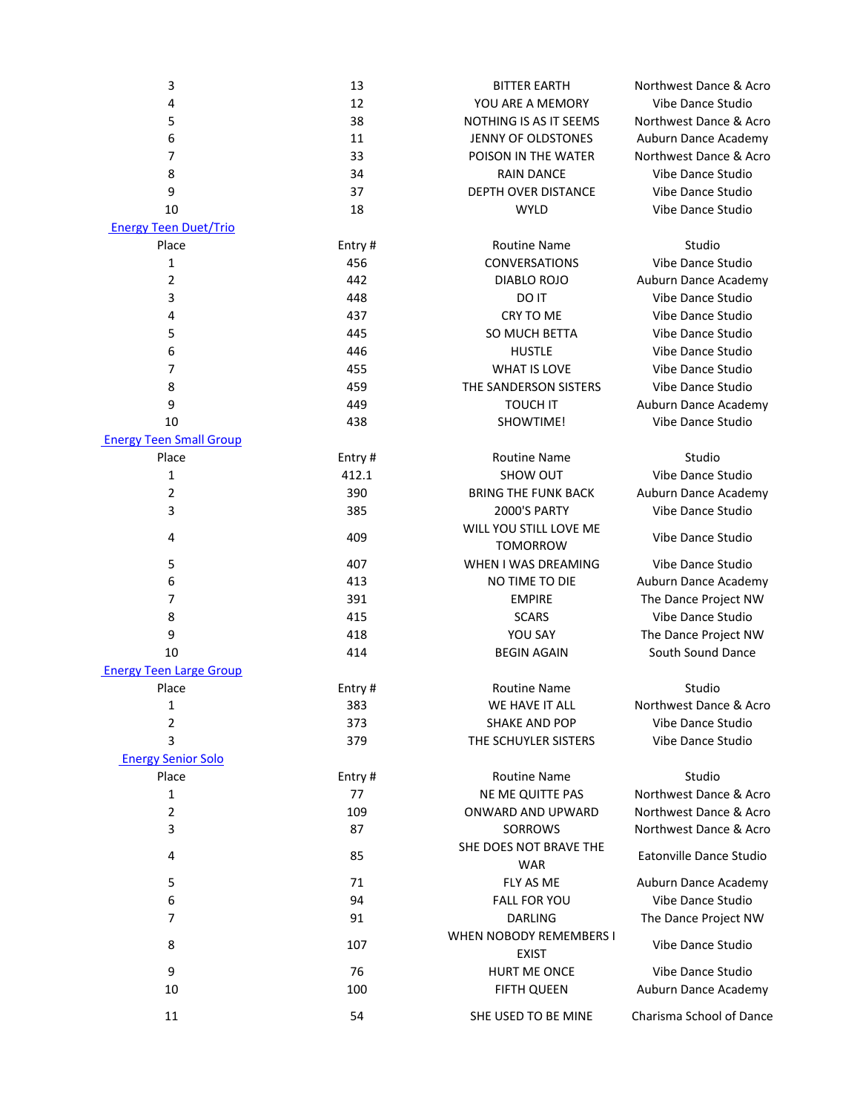| 3                              | 13     | <b>BITTER EARTH</b>                     | Northwest Dance & Acro   |
|--------------------------------|--------|-----------------------------------------|--------------------------|
| 4                              | 12     | YOU ARE A MEMORY                        | Vibe Dance Studio        |
| 5                              | 38     | NOTHING IS AS IT SEEMS                  | Northwest Dance & Acro   |
| 6                              | 11     | JENNY OF OLDSTONES                      | Auburn Dance Academy     |
| 7                              | 33     | POISON IN THE WATER                     | Northwest Dance & Acro   |
| 8                              | 34     | <b>RAIN DANCE</b>                       | Vibe Dance Studio        |
| 9                              | 37     | DEPTH OVER DISTANCE                     | Vibe Dance Studio        |
| 10                             | 18     | <b>WYLD</b>                             | Vibe Dance Studio        |
| <b>Energy Teen Duet/Trio</b>   |        |                                         |                          |
| Place                          | Entry# | <b>Routine Name</b>                     | Studio                   |
| 1                              | 456    | <b>CONVERSATIONS</b>                    | Vibe Dance Studio        |
| 2                              | 442    | DIABLO ROJO                             | Auburn Dance Academy     |
| 3                              | 448    | DO IT                                   | Vibe Dance Studio        |
| 4                              | 437    | CRY TO ME                               | Vibe Dance Studio        |
| 5                              | 445    | SO MUCH BETTA                           | Vibe Dance Studio        |
| 6                              | 446    | <b>HUSTLE</b>                           | Vibe Dance Studio        |
| 7                              | 455    | <b>WHAT IS LOVE</b>                     | Vibe Dance Studio        |
| 8                              | 459    | THE SANDERSON SISTERS                   | Vibe Dance Studio        |
| 9                              | 449    | <b>TOUCH IT</b>                         | Auburn Dance Academy     |
| 10                             | 438    | SHOWTIME!                               | Vibe Dance Studio        |
| <b>Energy Teen Small Group</b> |        |                                         |                          |
| Place                          | Entry# | <b>Routine Name</b>                     | Studio                   |
| 1                              | 412.1  | SHOW OUT                                | Vibe Dance Studio        |
| $\overline{2}$                 | 390    | <b>BRING THE FUNK BACK</b>              | Auburn Dance Academy     |
| 3                              | 385    | 2000'S PARTY                            | Vibe Dance Studio        |
|                                |        | WILL YOU STILL LOVE ME                  |                          |
| 4                              | 409    | <b>TOMORROW</b>                         | Vibe Dance Studio        |
| 5                              | 407    | WHEN I WAS DREAMING                     | Vibe Dance Studio        |
| 6                              | 413    | NO TIME TO DIE                          | Auburn Dance Academy     |
| 7                              | 391    | <b>EMPIRE</b>                           | The Dance Project NW     |
| 8                              | 415    | <b>SCARS</b>                            | Vibe Dance Studio        |
| 9                              | 418    | YOU SAY                                 | The Dance Project NW     |
| 10                             | 414    | <b>BEGIN AGAIN</b>                      | South Sound Dance        |
| <b>Energy Teen Large Group</b> |        |                                         |                          |
| Place                          | Entry# | <b>Routine Name</b>                     | Studio                   |
| $\mathbf 1$                    | 383    | WE HAVE IT ALL                          | Northwest Dance & Acro   |
| 2                              | 373    | SHAKE AND POP                           | Vibe Dance Studio        |
| 3                              | 379    | THE SCHUYLER SISTERS                    | Vibe Dance Studio        |
| <b>Energy Senior Solo</b>      |        |                                         |                          |
| Place                          | Entry# | <b>Routine Name</b>                     | Studio                   |
| 1                              | 77     | NE ME QUITTE PAS                        | Northwest Dance & Acro   |
| 2                              | 109    | ONWARD AND UPWARD                       | Northwest Dance & Acro   |
| 3                              | 87     | <b>SORROWS</b>                          | Northwest Dance & Acro   |
| 4                              | 85     | SHE DOES NOT BRAVE THE                  | Eatonville Dance Studio  |
|                                |        | <b>WAR</b>                              |                          |
| 5                              | 71     | FLY AS ME                               | Auburn Dance Academy     |
| 6                              | 94     | <b>FALL FOR YOU</b>                     | Vibe Dance Studio        |
| $\overline{7}$                 | 91     | <b>DARLING</b>                          | The Dance Project NW     |
| 8                              | 107    | WHEN NOBODY REMEMBERS I<br><b>EXIST</b> | Vibe Dance Studio        |
| 9                              | 76     | HURT ME ONCE                            | Vibe Dance Studio        |
| 10                             | 100    | <b>FIFTH QUEEN</b>                      | Auburn Dance Academy     |
|                                |        |                                         |                          |
| 11                             | 54     | SHE USED TO BE MINE                     | Charisma School of Dance |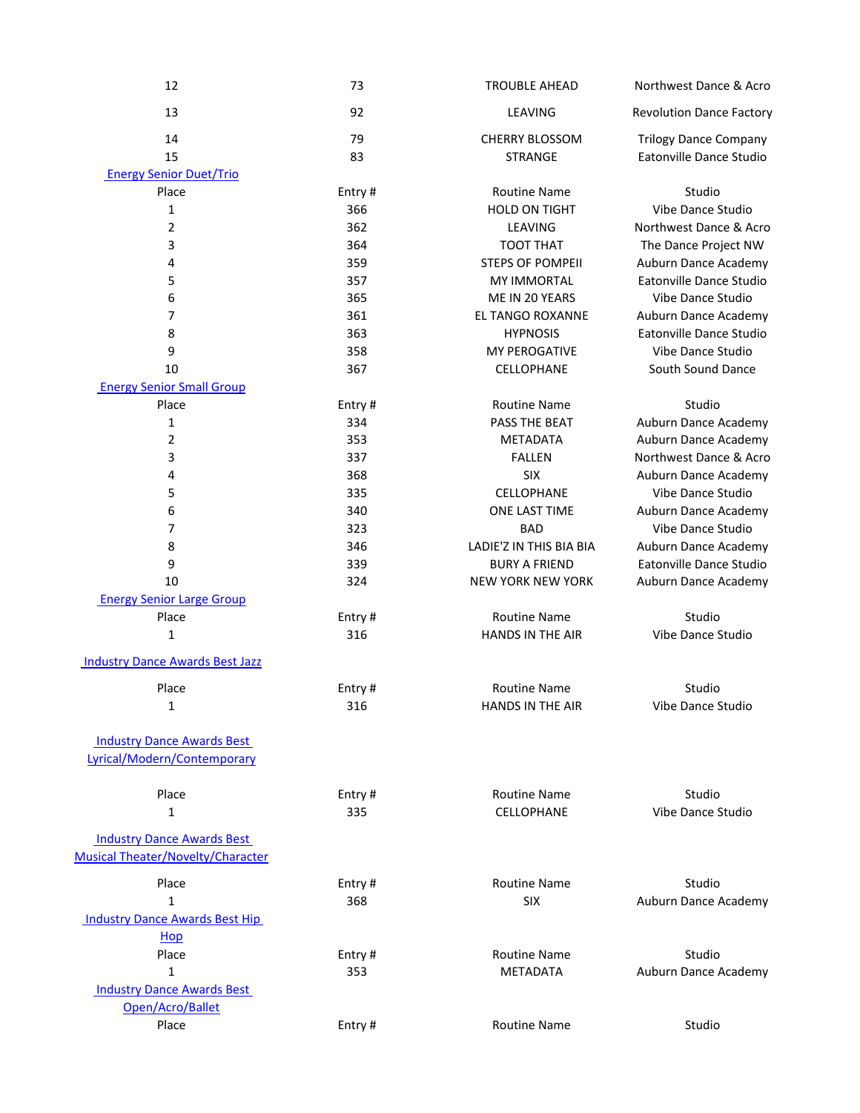| 12                                     | 73         | <b>TROUBLE AHEAD</b>     | Northwest Dance & Acro                    |
|----------------------------------------|------------|--------------------------|-------------------------------------------|
| 13                                     | 92         | LEAVING                  | <b>Revolution Dance Factory</b>           |
| 14                                     | 79         | <b>CHERRY BLOSSOM</b>    | <b>Trilogy Dance Company</b>              |
| 15                                     | 83         | <b>STRANGE</b>           | Eatonville Dance Studio                   |
| <b>Energy Senior Duet/Trio</b>         |            |                          |                                           |
| Place                                  | Entry#     | <b>Routine Name</b>      | Studio                                    |
| 1                                      | 366        | <b>HOLD ON TIGHT</b>     | Vibe Dance Studio                         |
| $\overline{2}$                         | 362        | LEAVING                  | Northwest Dance & Acro                    |
| 3                                      | 364        | TOOT THAT                | The Dance Project NW                      |
| 4                                      | 359        | <b>STEPS OF POMPEII</b>  | Auburn Dance Academy                      |
| 5                                      | 357        | <b>MY IMMORTAL</b>       | Eatonville Dance Studio                   |
| 6                                      | 365        | ME IN 20 YEARS           | Vibe Dance Studio                         |
| 7                                      | 361        | EL TANGO ROXANNE         | Auburn Dance Academy                      |
| 8                                      | 363        | <b>HYPNOSIS</b>          | Eatonville Dance Studio                   |
| 9                                      | 358        | MY PEROGATIVE            | Vibe Dance Studio                         |
| 10                                     | 367        | CELLOPHANE               | South Sound Dance                         |
| <b>Energy Senior Small Group</b>       |            |                          |                                           |
| Place                                  | Entry#     | <b>Routine Name</b>      | Studio                                    |
| 1                                      | 334        | PASS THE BEAT            | Auburn Dance Academy                      |
| $\overline{2}$                         | 353        | <b>METADATA</b>          | Auburn Dance Academy                      |
| 3                                      | 337        | <b>FALLEN</b>            | Northwest Dance & Acro                    |
| 4<br>5                                 | 368<br>335 | <b>SIX</b><br>CELLOPHANE | Auburn Dance Academy<br>Vibe Dance Studio |
| 6                                      | 340        | ONE LAST TIME            | Auburn Dance Academy                      |
| 7                                      | 323        | <b>BAD</b>               | Vibe Dance Studio                         |
| 8                                      | 346        | LADIE'Z IN THIS BIA BIA  | Auburn Dance Academy                      |
| 9                                      | 339        | <b>BURY A FRIEND</b>     | Eatonville Dance Studio                   |
| 10                                     | 324        | <b>NEW YORK NEW YORK</b> | Auburn Dance Academy                      |
| <b>Energy Senior Large Group</b>       |            |                          |                                           |
| Place                                  | Entry#     | <b>Routine Name</b>      | Studio                                    |
| 1                                      | 316        | <b>HANDS IN THE AIR</b>  | Vibe Dance Studio                         |
| <b>Industry Dance Awards Best Jazz</b> |            |                          |                                           |
|                                        |            |                          |                                           |
| Place                                  | Entry#     | <b>Routine Name</b>      | Studio                                    |
| $\mathbf 1$                            | 316        | HANDS IN THE AIR         | Vibe Dance Studio                         |
| <b>Industry Dance Awards Best</b>      |            |                          |                                           |
| Lyrical/Modern/Contemporary            |            |                          |                                           |
| Place                                  | Entry#     | <b>Routine Name</b>      | Studio                                    |
| $\mathbf{1}$                           | 335        | CELLOPHANE               | Vibe Dance Studio                         |
| <b>Industry Dance Awards Best</b>      |            |                          |                                           |
| Musical Theater/Novelty/Character      |            |                          |                                           |
| Place                                  | Entry#     | <b>Routine Name</b>      | Studio                                    |
| $\mathbf{1}$                           | 368        | <b>SIX</b>               | Auburn Dance Academy                      |
| <b>Industry Dance Awards Best Hip</b>  |            |                          |                                           |
| Hop                                    |            |                          |                                           |
| Place                                  | Entry#     | <b>Routine Name</b>      | Studio                                    |
| $\mathbf{1}$                           | 353        | <b>METADATA</b>          | Auburn Dance Academy                      |
| <b>Industry Dance Awards Best</b>      |            |                          |                                           |
| Open/Acro/Ballet                       |            |                          |                                           |
| Place                                  | Entry#     | <b>Routine Name</b>      | Studio                                    |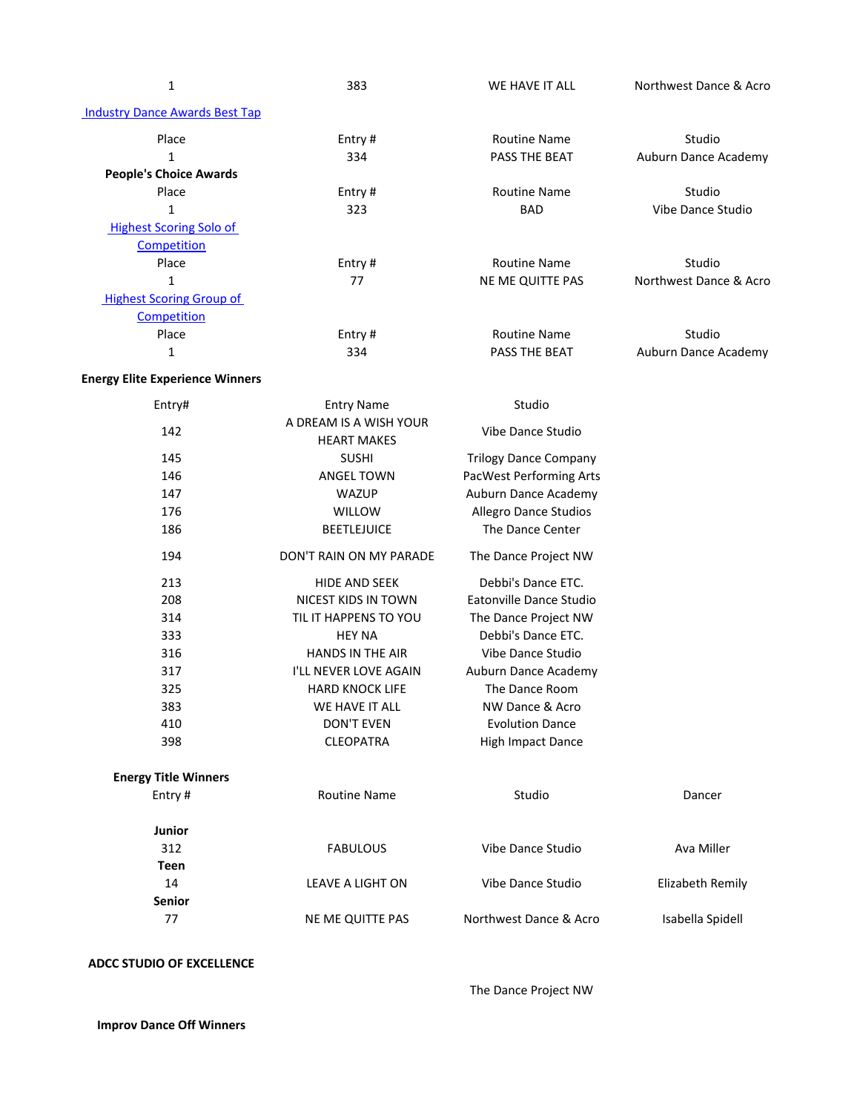| I |  |
|---|--|

1 383 383 WE HAVE IT ALL Northwest Dance & Acro

| <b>Industry Dance Awards Best Tap</b> |         |                      |                        |
|---------------------------------------|---------|----------------------|------------------------|
| Place                                 | Entry#  | <b>Routine Name</b>  | Studio                 |
|                                       | 334     | PASS THE BEAT        | Auburn Dance Academy   |
| <b>People's Choice Awards</b>         |         |                      |                        |
| Place                                 | Entry#  | <b>Routine Name</b>  | Studio                 |
|                                       | 323     | <b>BAD</b>           | Vibe Dance Studio      |
| <b>Highest Scoring Solo of</b>        |         |                      |                        |
| Competition                           |         |                      |                        |
| Place                                 | Entry # | <b>Routine Name</b>  | Studio                 |
|                                       | 77      | NE ME QUITTE PAS     | Northwest Dance & Acro |
| <b>Highest Scoring Group of</b>       |         |                      |                        |
| Competition                           |         |                      |                        |
| Place                                 | Entry#  | <b>Routine Name</b>  | Studio                 |
| 1                                     | 334     | <b>PASS THE BEAT</b> | Auburn Dance Academy   |

## **Energy Elite Experience Winners**

| Entry#                      | <b>Entry Name</b>                            | Studio                         |                  |
|-----------------------------|----------------------------------------------|--------------------------------|------------------|
| 142                         | A DREAM IS A WISH YOUR<br><b>HEART MAKES</b> | Vibe Dance Studio              |                  |
| 145                         | <b>SUSHI</b>                                 | <b>Trilogy Dance Company</b>   |                  |
| 146                         | <b>ANGEL TOWN</b>                            | <b>PacWest Performing Arts</b> |                  |
| 147                         | <b>WAZUP</b>                                 | Auburn Dance Academy           |                  |
| 176                         | <b>WILLOW</b>                                | <b>Allegro Dance Studios</b>   |                  |
| 186                         | <b>BEETLEJUICE</b>                           | The Dance Center               |                  |
| 194                         | DON'T RAIN ON MY PARADE                      | The Dance Project NW           |                  |
| 213                         | <b>HIDE AND SEEK</b>                         | Debbi's Dance ETC.             |                  |
| 208                         | NICEST KIDS IN TOWN                          | Eatonville Dance Studio        |                  |
| 314                         | TIL IT HAPPENS TO YOU                        | The Dance Project NW           |                  |
| 333                         | <b>HEY NA</b>                                | Debbi's Dance ETC.             |                  |
| 316                         | HANDS IN THE AIR                             | Vibe Dance Studio              |                  |
| 317                         | I'LL NEVER LOVE AGAIN                        | Auburn Dance Academy           |                  |
| 325                         | <b>HARD KNOCK LIFE</b>                       | The Dance Room                 |                  |
| 383                         | WE HAVE IT ALL                               | NW Dance & Acro                |                  |
| 410                         | <b>DON'T EVEN</b>                            | <b>Evolution Dance</b>         |                  |
| 398                         | <b>CLEOPATRA</b>                             | <b>High Impact Dance</b>       |                  |
| <b>Energy Title Winners</b> |                                              |                                |                  |
| Entry#                      | <b>Routine Name</b>                          | Studio                         | Dancer           |
| <b>Junior</b>               |                                              |                                |                  |
| 312                         | <b>FABULOUS</b>                              | Vibe Dance Studio              | Ava Miller       |
| <b>Teen</b>                 |                                              |                                |                  |
| 14                          | <b>LEAVE A LIGHT ON</b>                      | Vibe Dance Studio              | Elizabeth Remily |
| <b>Senior</b>               |                                              |                                |                  |
| 77                          | <b>NE ME QUITTE PAS</b>                      | Northwest Dance & Acro         | Isabella Spidell |

## **ADCC STUDIO OF EXCELLENCE**

The Dance Project NW